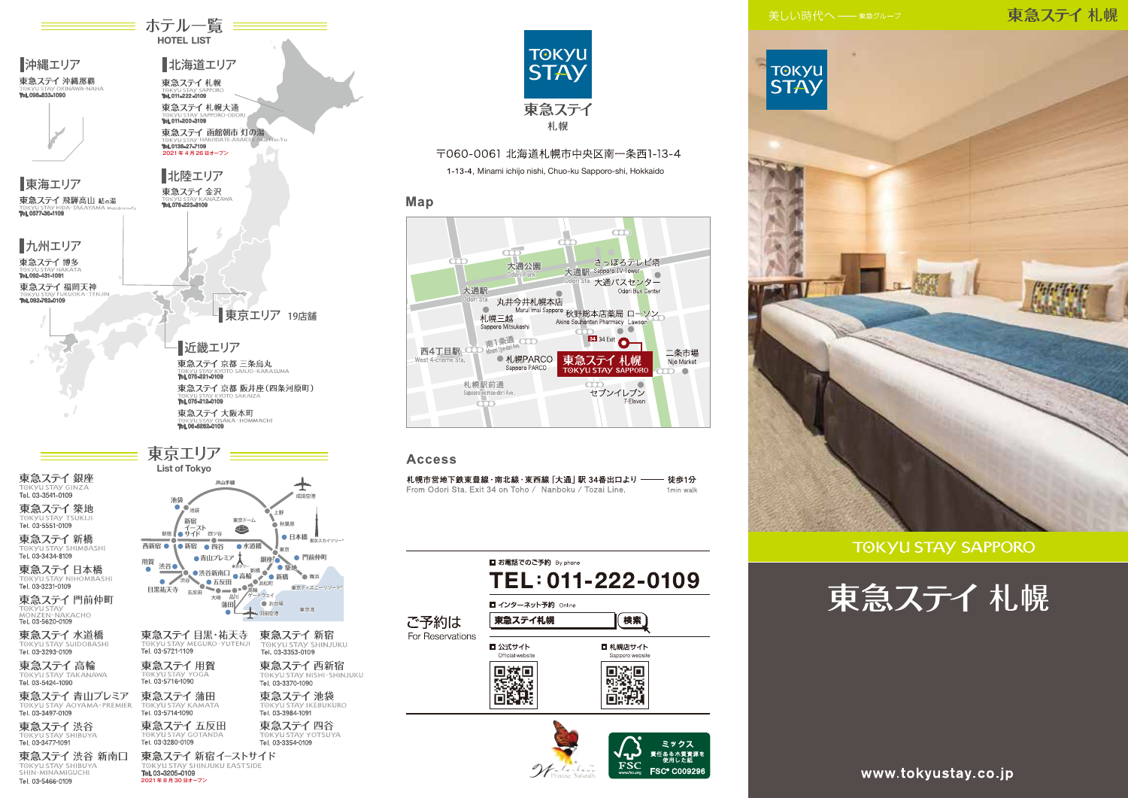### 東急ステイ札幌



#### **TOKYU STAY SAPPORO**





ホテル一覧 == **HOTEL LIST** 

北海道エリア

東急ステイ札幌大通 TORYUSIAY SA

東急ステイ 函館朝市 灯の湯

東急ステイ札幌

Tel. 011-222-0109

Tel. 0138-27-7109

2021年4月26日オープン

北陸エリア

東急ステイ金沢

Tel. 076-223-8109

■沖縄エリア

東海エリア

TORYUSTAY HIL

東急ステイ 飛騨高山 結の湯

1.008-899-1000

東急ステイ 沖縄那覇



〒060-0061 北海道札幌市中央区南一条西1-13-4

1-13-4, Minami ichijo nishi, Chuo-ku Sapporo-shi, Hokkaido

#### Map



#### **Access**

| 札幌市営地下鉄東豊線・南北線・東西線 [大通] 駅 34番出口より ――                    | 徒歩1分      |
|---------------------------------------------------------|-----------|
| From Odori Sta. Exit 34 on Toho / Nanboku / Tozai Line. | 1min walk |

|                          | ■ お電話でのご予約 By phone                 | TEL: 011-222-0109           |  |
|--------------------------|-------------------------------------|-----------------------------|--|
| ご予約は<br>For Reservations | ■ インターネット予約 Online<br>東急ステイ札幌<br>検索 |                             |  |
|                          | ■ 公式サイト<br>Official website         | ■ 札幌店サイト<br>Sapporo website |  |
|                          |                                     | ミックス                        |  |

Watcher

±のる不真真<br>|使用した紙

FSC<sup>®</sup> C00929

FSC